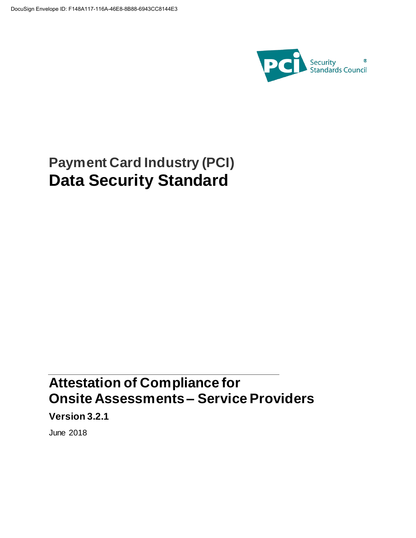

# **Payment Card Industry (PCI) Data Security Standard**

## **Attestation of Compliance for Onsite Assessments – Service Providers**

**Version 3.2.1**

June 2018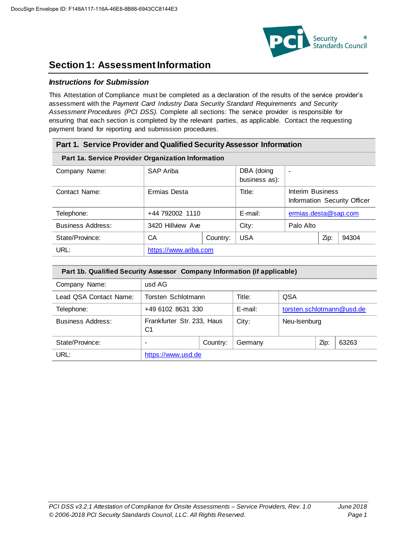

### **Section 1: Assessment Information**

### *Instructions for Submission*

This Attestation of Compliance must be completed as a declaration of the results of the service provider's assessment with the *Payment Card Industry Data Security Standard Requirements and Security Assessment Procedures (PCI DSS).* Complete all sections: The service provider is responsible for ensuring that each section is completed by the relevant parties, as applicable. Contact the requesting payment brand for reporting and submission procedures.

| Part 1. Service Provider and Qualified Security Assessor Information |                       |  |                             |                                                  |      |       |
|----------------------------------------------------------------------|-----------------------|--|-----------------------------|--------------------------------------------------|------|-------|
| Part 1a. Service Provider Organization Information                   |                       |  |                             |                                                  |      |       |
| Company Name:                                                        | SAP Ariba             |  | DBA (doing<br>business as): | $\blacksquare$                                   |      |       |
| Contact Name:                                                        | Ermias Desta          |  | Title:                      | Interim Business<br>Information Security Officer |      |       |
| Telephone:                                                           | +44 792002 1110       |  | E-mail:                     | ermias.desta@sap.com                             |      |       |
| <b>Business Address:</b>                                             | 3420 Hillview Ave     |  | City:                       | Palo Alto                                        |      |       |
| State/Province:                                                      | CA<br>Country:        |  | <b>USA</b>                  |                                                  | Zip: | 94304 |
| URL:                                                                 | https://www.ariba.com |  |                             |                                                  |      |       |

| Part 1b. Qualified Security Assessor Company Information (if applicable) |                                              |  |         |                           |      |       |
|--------------------------------------------------------------------------|----------------------------------------------|--|---------|---------------------------|------|-------|
| Company Name:                                                            | usd AG                                       |  |         |                           |      |       |
| Lead QSA Contact Name:                                                   | Torsten Schlotmann                           |  | Title:  | <b>QSA</b>                |      |       |
| Telephone:                                                               | +49 6102 8631 330                            |  | E-mail: | torsten.schlotmann@usd.de |      |       |
| <b>Business Address:</b>                                                 | Frankfurter Str. 233, Haus<br>C <sub>1</sub> |  | City:   | Neu-Isenburg              |      |       |
| State/Province:                                                          | Country:<br>$\overline{\phantom{0}}$         |  | Germany |                           | Zip: | 63263 |
| URL:                                                                     | https://www.usd.de                           |  |         |                           |      |       |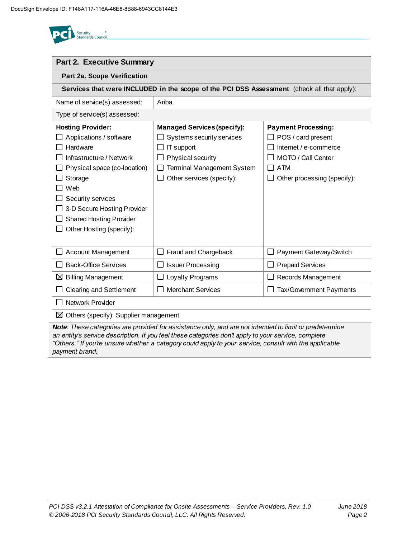| <b>Security</b><br><b>Standards Counci</b> |
|--------------------------------------------|
|                                            |

| <b>Part 2. Executive Summary</b>                                                           |                                    |                             |  |  |
|--------------------------------------------------------------------------------------------|------------------------------------|-----------------------------|--|--|
| Part 2a. Scope Verification                                                                |                                    |                             |  |  |
| Services that were INCLUDED in the scope of the PCI DSS Assessment (check all that apply): |                                    |                             |  |  |
| Name of service(s) assessed:                                                               | Ariba                              |                             |  |  |
| Type of service(s) assessed:                                                               |                                    |                             |  |  |
| <b>Hosting Provider:</b>                                                                   | <b>Managed Services (specify):</b> | <b>Payment Processing:</b>  |  |  |
| Applications / software                                                                    | Systems security services          | POS / card present          |  |  |
| Hardware                                                                                   | IT support                         | Internet / e-commerce       |  |  |
| Infrastructure / Network                                                                   | Physical security                  | MOTO / Call Center          |  |  |
| Physical space (co-location)                                                               | <b>Terminal Management System</b>  | <b>ATM</b>                  |  |  |
| Storage                                                                                    | Other services (specify):          | Other processing (specify): |  |  |
| Web                                                                                        |                                    |                             |  |  |
| Security services                                                                          |                                    |                             |  |  |
| 3-D Secure Hosting Provider                                                                |                                    |                             |  |  |
| <b>Shared Hosting Provider</b>                                                             |                                    |                             |  |  |
| Other Hosting (specify):                                                                   |                                    |                             |  |  |
|                                                                                            |                                    |                             |  |  |
| <b>Account Management</b>                                                                  | Fraud and Chargeback               | Payment Gateway/Switch      |  |  |
| <b>Back-Office Services</b>                                                                | <b>Issuer Processing</b>           | <b>Prepaid Services</b>     |  |  |
| $\boxtimes$ Billing Management                                                             | Loyalty Programs                   | Records Management          |  |  |
| <b>Clearing and Settlement</b>                                                             | <b>Merchant Services</b>           | Tax/Government Payments     |  |  |
| <b>Network Provider</b>                                                                    |                                    |                             |  |  |
| Others (specify): Supplier management<br>⊠                                                 |                                    |                             |  |  |

*Note: These categories are provided for assistance only, and are not intended to limit or predetermine an entity's service description. If you feel these categories don't apply to your service, complete "Others." If you're unsure whether a category could apply to your service, consult with the applicable payment brand.*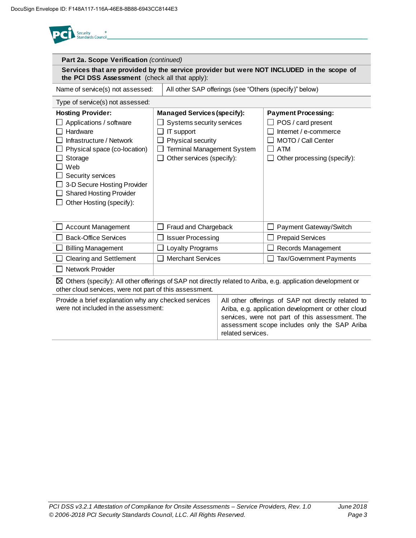| Security<br>andards Council                                                                                                                                                                                                                                     |                                                                                                                                                                      |                   |                                                                                                                                                                                                             |
|-----------------------------------------------------------------------------------------------------------------------------------------------------------------------------------------------------------------------------------------------------------------|----------------------------------------------------------------------------------------------------------------------------------------------------------------------|-------------------|-------------------------------------------------------------------------------------------------------------------------------------------------------------------------------------------------------------|
| Part 2a. Scope Verification (continued)                                                                                                                                                                                                                         |                                                                                                                                                                      |                   |                                                                                                                                                                                                             |
| the PCI DSS Assessment (check all that apply):                                                                                                                                                                                                                  |                                                                                                                                                                      |                   | Services that are provided by the service provider but were NOT INCLUDED in the scope of                                                                                                                    |
| Name of service(s) not assessed:                                                                                                                                                                                                                                |                                                                                                                                                                      |                   | All other SAP offerings (see "Others (specify)" below)                                                                                                                                                      |
| Type of service(s) not assessed:                                                                                                                                                                                                                                |                                                                                                                                                                      |                   |                                                                                                                                                                                                             |
| <b>Hosting Provider:</b><br>Applications / software<br>Hardware<br>Infrastructure / Network<br>Physical space (co-location)<br>Storage<br>Web<br>Security services<br>3-D Secure Hosting Provider<br><b>Shared Hosting Provider</b><br>Other Hosting (specify): | <b>Managed Services (specify):</b><br>Systems security services<br>IT support<br>Physical security<br><b>Terminal Management System</b><br>Other services (specify): |                   | <b>Payment Processing:</b><br>$\Box$ POS / card present<br>Internet / e-commerce<br>MOTO / Call Center<br><b>ATM</b><br>Other processing (specify):                                                         |
| <b>Account Management</b>                                                                                                                                                                                                                                       | Fraud and Chargeback                                                                                                                                                 |                   | Payment Gateway/Switch                                                                                                                                                                                      |
| <b>Back-Office Services</b>                                                                                                                                                                                                                                     | <b>Issuer Processing</b>                                                                                                                                             |                   | <b>Prepaid Services</b>                                                                                                                                                                                     |
| <b>Billing Management</b>                                                                                                                                                                                                                                       | Loyalty Programs                                                                                                                                                     |                   | Records Management                                                                                                                                                                                          |
| <b>Clearing and Settlement</b>                                                                                                                                                                                                                                  | <b>Merchant Services</b>                                                                                                                                             |                   | Tax/Government Payments                                                                                                                                                                                     |
| Network Provider                                                                                                                                                                                                                                                |                                                                                                                                                                      |                   |                                                                                                                                                                                                             |
| other cloud services, were not part of this assessment.                                                                                                                                                                                                         |                                                                                                                                                                      |                   | $\boxtimes$ Others (specify): All other offerings of SAP not directly related to Ariba, e.g. application development or                                                                                     |
| Provide a brief explanation why any checked services<br>were not included in the assessment:                                                                                                                                                                    |                                                                                                                                                                      | related services. | All other offerings of SAP not directly related to<br>Ariba, e.g. application development or other cloud<br>services, were not part of this assessment. The<br>assessment scope includes only the SAP Ariba |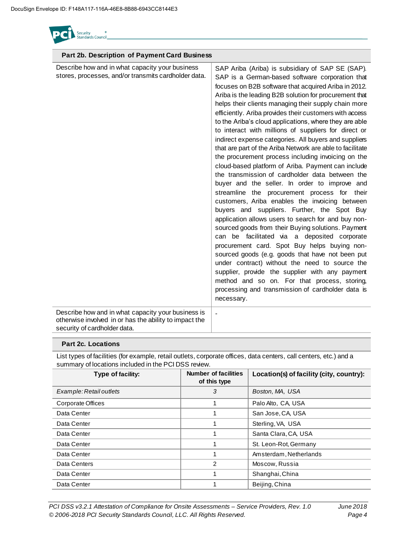

| Part 2b. Description of Payment Card Business                                                                                                |                                                                                                                                                                                                                                                                                                                                                                                                                                                                                                                                                                                                                                                                                                                                                                                                                                                                                                                                                                                                                                                                                                                                                                                                                                                                                                                                                                                                                                               |
|----------------------------------------------------------------------------------------------------------------------------------------------|-----------------------------------------------------------------------------------------------------------------------------------------------------------------------------------------------------------------------------------------------------------------------------------------------------------------------------------------------------------------------------------------------------------------------------------------------------------------------------------------------------------------------------------------------------------------------------------------------------------------------------------------------------------------------------------------------------------------------------------------------------------------------------------------------------------------------------------------------------------------------------------------------------------------------------------------------------------------------------------------------------------------------------------------------------------------------------------------------------------------------------------------------------------------------------------------------------------------------------------------------------------------------------------------------------------------------------------------------------------------------------------------------------------------------------------------------|
| Describe how and in what capacity your business<br>stores, processes, and/or transmits cardholder data.                                      | SAP Ariba (Ariba) is subsidiary of SAP SE (SAP).<br>SAP is a German-based software corporation that<br>focuses on B2B software that acquired Ariba in 2012.<br>Ariba is the leading B2B solution for procurement that<br>helps their clients managing their supply chain more<br>efficiently. Ariba provides their customers with access<br>to the Ariba's cloud applications, where they are able<br>to interact with millions of suppliers for direct or<br>indirect expense categories. All buyers and suppliers<br>that are part of the Ariba Network are able to facilitate<br>the procurement process including invoicing on the<br>cloud-based platform of Ariba. Payment can include<br>the transmission of cardholder data between the<br>buyer and the seller. In order to improve and<br>streamline the procurement process for<br>their<br>customers, Ariba enables the invoicing between<br>buyers and suppliers. Further, the Spot Buy<br>application allows users to search for and buy non-<br>sourced goods from their Buying solutions. Payment<br>can be facilitated via a deposited corporate<br>procurement card. Spot Buy helps buying non-<br>sourced goods (e.g. goods that have not been put<br>under contract) without the need to source the<br>supplier, provide the supplier with any payment<br>method and so on. For that process, storing,<br>processing and transmission of cardholder data is<br>necessary. |
| Describe how and in what capacity your business is<br>otherwise involved in or has the ability to impact the<br>security of cardholder data. | $\blacksquare$                                                                                                                                                                                                                                                                                                                                                                                                                                                                                                                                                                                                                                                                                                                                                                                                                                                                                                                                                                                                                                                                                                                                                                                                                                                                                                                                                                                                                                |

### **Part 2c. Locations**

List types of facilities (for example, retail outlets, corporate offices, data centers, call centers, etc.) and a summary of locations included in the PCI DSS review.

| Type of facility:       | <b>Number of facilities</b><br>of this type | Location(s) of facility (city, country): |
|-------------------------|---------------------------------------------|------------------------------------------|
| Example: Retail outlets | 3                                           | Boston, MA, USA                          |
| Corporate Offices       |                                             | Palo Alto, CA, USA                       |
| Data Center             | 1                                           | San Jose, CA, USA                        |
| Data Center             | 1                                           | Sterling, VA, USA                        |
| Data Center             |                                             | Santa Clara, CA, USA                     |
| Data Center             |                                             | St. Leon-Rot, Germany                    |
| Data Center             |                                             | Amsterdam, Netherlands                   |
| Data Centers            | 2                                           | Moscow, Russia                           |
| Data Center             |                                             | Shanghai, China                          |
| Data Center             |                                             | Beijing, China                           |

*PCI DSS v3.2.1 Attestation of Compliance for Onsite Assessments – Service Providers, Rev. 1.0 June 2018 © 2006-2018 PCI Security Standards Council, LLC. All Rights Reserved. Page 4*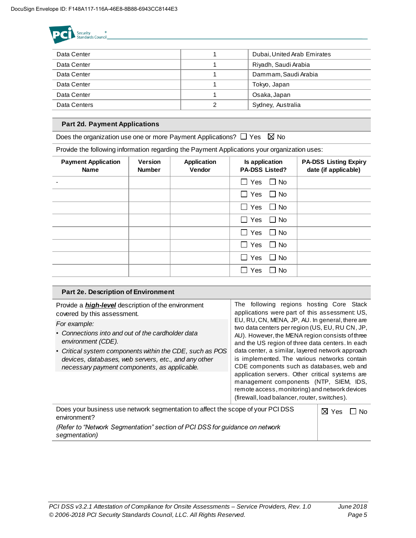

| Data Center  |   | Dubai, United Arab Emirates |
|--------------|---|-----------------------------|
| Data Center  |   | Riyadh, Saudi Arabia        |
| Data Center  |   | Dammam, Saudi Arabia        |
| Data Center  |   | Tokyo, Japan                |
| Data Center  |   | Osaka, Japan                |
| Data Centers | າ | Sydney, Australia           |
|              |   |                             |

### **Part 2d. Payment Applications**

Does the organization use one or more Payment Applications?  $\Box$  Yes  $\boxtimes$  No

Provide the following information regarding the Payment Applications your organization uses:

| <b>Payment Application</b><br><b>Name</b> | <b>Version</b><br><b>Number</b> | <b>Application</b><br><b>Vendor</b> | Is application<br><b>PA-DSS Listed?</b> | <b>PA-DSS Listing Expiry</b><br>date (if applicable) |
|-------------------------------------------|---------------------------------|-------------------------------------|-----------------------------------------|------------------------------------------------------|
|                                           |                                 |                                     | $\Box$ Yes $\Box$ No                    |                                                      |
|                                           |                                 |                                     | $\Box$ Yes $\Box$ No                    |                                                      |
|                                           |                                 |                                     | $\Box$ Yes $\Box$ No                    |                                                      |
|                                           |                                 |                                     | $\Box$ Yes<br>$\Box$ No                 |                                                      |
|                                           |                                 |                                     | $\Box$ Yes $\Box$ No                    |                                                      |
|                                           |                                 |                                     | $\Box$ Yes<br>$\Box$ No                 |                                                      |
|                                           |                                 |                                     | $\Box$ Yes<br>$\Box$ No                 |                                                      |
|                                           |                                 |                                     | $\Box$ Yes<br>l I No                    |                                                      |

#### **Part 2e. Description of Environment**  Provide a *high-level* description of the environment covered by this assessment. *For example:* • *Connections into and out of the cardholder data environment (CDE).* • *Critical system components within the CDE, such as POS devices, databases, web servers, etc., and any other necessary payment components, as applicable.* The following regions hosting Core Stack applications were part of this assessment: US, EU, RU, CN, MENA, JP, AU. In general, there are two data centers per region (US, EU, RU CN, JP, AU). However, the MENA region consists of three and the US region of three data centers. In each data center, a similar, layered network approach is implemented. The various networks contain CDE components such as databases, web and application servers. Other critical systems are management components (NTP, SIEM, IDS, remote access, monitoring) and network devices (firewall, load balancer, router, switches). Does your business use network segmentation to affect the scope of your PCI DSS environment? *(Refer to "Network Segmentation" section of PCI DSS for guidance on network*   $\boxtimes$  Yes  $\Box$  No

*segmentation)*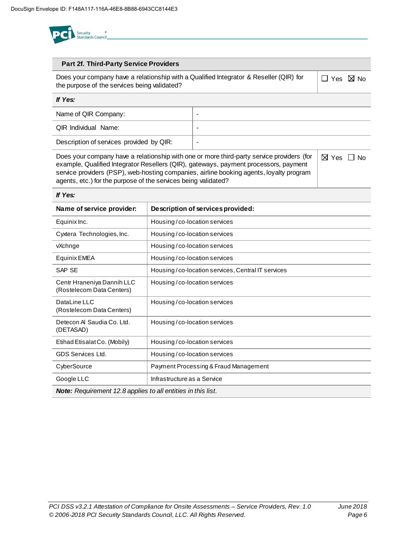

### **Part 2f. Third-Party Service Providers**

Does your company have a relationship with a Qualified Integrator & Reseller (QIR) for the purpose of the services being validated?

 $\Box$  Yes  $\boxtimes$  No

| If Yes:                                  |   |
|------------------------------------------|---|
| Name of QIR Company:                     |   |
| <b>QIR Individual Name:</b>              |   |
| Description of services provided by QIR: | - |

Does your company have a relationship with one or more third-party service providers (for example, Qualified Integrator Resellers (QIR), gateways, payment processors, payment service providers (PSP), web-hosting companies, airline booking agents, loyalty program agents, etc.) for the purpose of the services being validated?  $\boxtimes$  Yes  $\Box$  No

#### *If Yes:*

| Name of service provider:                                           | Description of services provided:                 |  |
|---------------------------------------------------------------------|---------------------------------------------------|--|
| Equinix Inc.                                                        | Housing/co-location services                      |  |
| Cyxtera Technologies, Inc.                                          | Housing/co-location services                      |  |
| vXchnge                                                             | Housing/co-location services                      |  |
| Equinix EMEA                                                        | Housing/co-location services                      |  |
| SAP SE                                                              | Housing/co-location services, Central IT services |  |
| Centr Hraneniya Dannih LLC<br>(Rostelecom Data Centers)             | Housing/co-location services                      |  |
| DataLine LLC<br>(Rostelecom Data Centers)                           | Housing/co-location services                      |  |
| Detecon Al Saudia Co. Ltd.<br>(DETASAD)                             | Housing/co-location services                      |  |
| Etihad Etisalat Co. (Mobily)                                        | Housing/co-location services                      |  |
| GDS Services Ltd.                                                   | Housing/co-location services                      |  |
| CyberSource                                                         | Payment Processing & Fraud Management             |  |
| Google LLC                                                          | Infrastructure as a Service                       |  |
| <b>Note:</b> Requirement 12.8 applies to all entities in this list. |                                                   |  |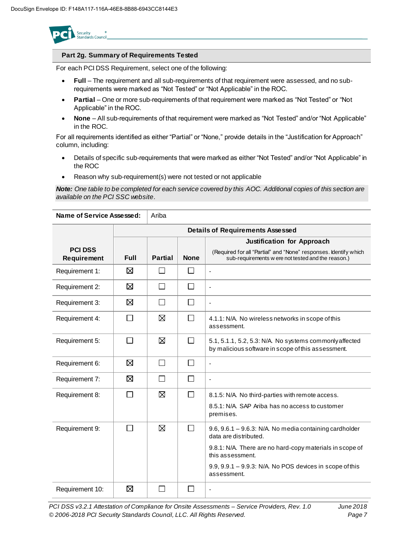

### **Part 2g. Summary of Requirements Tested**

For each PCI DSS Requirement, select one of the following:

- **Full** The requirement and all sub-requirements of that requirement were assessed, and no subrequirements were marked as "Not Tested" or "Not Applicable" in the ROC.
- **Partial** One or more sub-requirements of that requirement were marked as "Not Tested" or "Not Applicable" in the ROC.
- **None** All sub-requirements of that requirement were marked as "Not Tested" and/or "Not Applicable" in the ROC.

For all requirements identified as either "Partial" or "None," provide details in the "Justification for Approach" column, including:

- Details of specific sub-requirements that were marked as either "Not Tested" and/or "Not Applicable" in the ROC
- Reason why sub-requirement(s) were not tested or not applicable

*Note: One table to be completed for each service covered by this AOC. Additional copies of this section are available on the PCI SSC website*.

| Name of Service Assessed: |             | Ariba          |              |                                                                                                                        |
|---------------------------|-------------|----------------|--------------|------------------------------------------------------------------------------------------------------------------------|
|                           |             |                |              | <b>Details of Requirements Assessed</b>                                                                                |
| <b>PCI DSS</b>            |             |                |              | <b>Justification for Approach</b>                                                                                      |
| Requirement               | <b>Full</b> | <b>Partial</b> | <b>None</b>  | (Required for all "Partial" and "None" responses. Identify which<br>sub-requirements w ere not tested and the reason.) |
| Requirement 1:            | ⊠           | $\mathsf{L}$   | $\mathsf{L}$ | ÷,                                                                                                                     |
| Requirement 2:            | ⊠           | $\mathsf{L}$   | $\mathbf{L}$ | ÷,                                                                                                                     |
| Requirement 3:            | ⊠           | $\Box$         | $\Box$       | $\blacksquare$                                                                                                         |
| Requirement 4:            |             | ⊠              | $\Box$       | 4.1.1: N/A. No wireless networks in scope of this<br>assessment.                                                       |
| Requirement 5:            | П           | ⊠              | $\Box$       | 5.1, 5.1.1, 5.2, 5.3: N/A. No systems commonly affected<br>by malicious software in scope of this assessment.          |
| Requirement 6:            | ⊠           | П              | $\Box$       | $\overline{\phantom{0}}$                                                                                               |
| Requirement 7:            | ⊠           | П              | $\Box$       | ä,                                                                                                                     |
| Requirement 8:            |             | ⊠              | $\Box$       | 8.1.5: N/A. No third-parties with remote access.                                                                       |
|                           |             |                |              | 8.5.1: N/A. SAP Ariba has no access to customer<br>premises.                                                           |
| Requirement 9:            | П           | ⊠              | $\Box$       | 9.6, 9.6.1 - 9.6.3: N/A. No media containing cardholder<br>data are distributed.                                       |
|                           |             |                |              | 9.8.1: N/A. There are no hard-copy materials in scope of<br>this assessment.                                           |
|                           |             |                |              | 9.9, 9.9.1 - 9.9.3: N/A. No POS devices in scope of this<br>assessment.                                                |
| Requirement 10:           | ⊠           | $\blacksquare$ | П            |                                                                                                                        |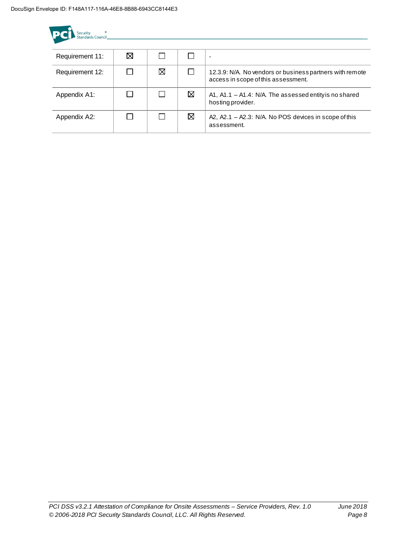| Security<br>Standards Council |   |   |   |                                                                                                 |
|-------------------------------|---|---|---|-------------------------------------------------------------------------------------------------|
| Requirement 11:               | ⊠ |   |   | ٠                                                                                               |
| Requirement 12:               |   | ⊠ |   | 12.3.9: N/A. No vendors or business partners with remote<br>access in scope of this assessment. |
| Appendix A1:                  |   |   | ⊠ | A1, A1.1 $-$ A1.4: N/A. The assessed entity is no shared<br>hosting provider.                   |
| Appendix A2:                  |   |   | ⊠ | A2, A2.1 - A2.3: N/A. No POS devices in scope of this<br>assessment.                            |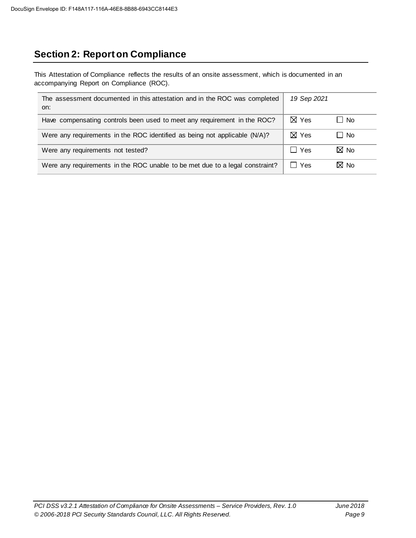## **Section 2: Report on Compliance**

This Attestation of Compliance reflects the results of an onsite assessment, which is documented in an accompanying Report on Compliance (ROC).

| The assessment documented in this attestation and in the ROC was completed<br>on: | 19 Sep 2021     |                |
|-----------------------------------------------------------------------------------|-----------------|----------------|
| Have compensating controls been used to meet any requirement in the ROC?          | $\boxtimes$ Yes | □ No           |
| Were any requirements in the ROC identified as being not applicable (N/A)?        | $\boxtimes$ Yes | $\Box$ No      |
| Were any requirements not tested?                                                 | $\Box$ Yes      | $\boxtimes$ No |
| Were any requirements in the ROC unable to be met due to a legal constraint?      | $\Box$ Yes      | M No           |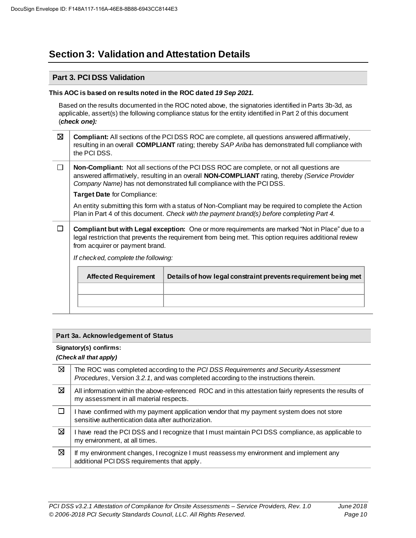### **Section 3: Validation and Attestation Details**

### **Part 3. PCI DSS Validation**

### **This AOC is based on results noted in the ROC dated** *19 Sep 2021.*

Based on the results documented in the ROC noted above, the signatories identified in Parts 3b-3d, as applicable, assert(s) the following compliance status for the entity identified in Part 2 of this document (*check one):*

- ⊠ **Compliant:** All sections of the PCI DSS ROC are complete, all questions answered affirmatively, resulting in an overall **COMPLIANT** rating; thereby *SAP Ariba* has demonstrated full compliance with the PCI DSS.
- $\Box$ **Non-Compliant:** Not all sections of the PCI DSS ROC are complete, or not all questions are answered affirmatively, resulting in an overall **NON-COMPLIANT** rating, thereby *(Service Provider Company Name)* has not demonstrated full compliance with the PCI DSS.

**Target Date** for Compliance:

An entity submitting this form with a status of Non-Compliant may be required to complete the Action Plan in Part 4 of this document. *Check with the payment brand(s) before completing Part 4.*

 $\Box$ **Compliant but with Legal exception:** One or more requirements are marked "Not in Place" due to a legal restriction that prevents the requirement from being met. This option requires additional review from acquirer or payment brand.

*If checked, complete the following:*

| Details of how legal constraint prevents requirement being met |
|----------------------------------------------------------------|
|                                                                |
|                                                                |
|                                                                |

### **Part 3a. Acknowledgement of Status**

### **Signatory(s) confirms:**

### *(Check all that apply)*

| ⊠ | The ROC was completed according to the PCI DSS Requirements and Security Assessment<br>Procedures, Version 3.2.1, and was completed according to the instructions therein. |
|---|----------------------------------------------------------------------------------------------------------------------------------------------------------------------------|
| ⊠ | All information within the above-referenced ROC and in this attestation fairly represents the results of<br>my assessment in all material respects.                        |
|   | I have confirmed with my payment application vendor that my payment system does not store<br>sensitive authentication data after authorization.                            |
| ⊠ | I have read the PCI DSS and I recognize that I must maintain PCI DSS compliance, as applicable to<br>my environment, at all times.                                         |
| ⊠ | If my environment changes, I recognize I must reassess my environment and implement any<br>additional PCI DSS requirements that apply.                                     |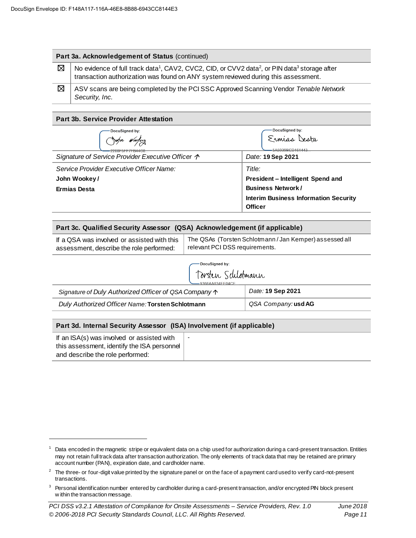### **Part 3a. Acknowledgement of Status** (continued)

| $\boxtimes$   No evidence of full track data <sup>1</sup> , CAV2, CVC2, CID, or CVV2 data <sup>2</sup> , or PIN data <sup>3</sup> storage after |
|-------------------------------------------------------------------------------------------------------------------------------------------------|
| transaction authorization was found on ANY system reviewed during this assessment.                                                              |

 $\boxtimes$ ASV scans are being completed by the PCI SSC Approved Scanning Vendor *Tenable Network Security, Inc.*

#### **Part 3b. Service Provider Attestation**

| DocuSigned by:<br>2268F5FF7FB44C8                          | DocuSigned by:<br>Ermias Desta<br>5A5939BCD161443 |  |  |
|------------------------------------------------------------|---------------------------------------------------|--|--|
| Signature of Service Provider Executive Officer $\uparrow$ | Date: 19 Sep 2021                                 |  |  |
| Service Provider Executive Officer Name:                   | Title:                                            |  |  |
| John Wookey/                                               | President – Intelligent Spend and                 |  |  |
| <b>Ermias Desta</b>                                        | <b>Business Network/</b>                          |  |  |
|                                                            | <b>Interim Business Information Security</b>      |  |  |
|                                                            | <b>Officer</b>                                    |  |  |

| Part 3c. Qualified Security Assessor (QSA) Acknowledgement (if applicable) |                                                       |  |  |
|----------------------------------------------------------------------------|-------------------------------------------------------|--|--|
| If a QSA was involved or assisted with this                                | The QSAs (Torsten Schlotmann/Jan Kemper) assessed all |  |  |
| assessment, describe the role performed:                                   | relevant PCI DSS requirements.                        |  |  |

DocuSigned by:

| Torsten Schlotmann<br>$-9366A4034FFA4CF$                       |                            |  |  |
|----------------------------------------------------------------|----------------------------|--|--|
| Signature of Duly Authorized Officer of QSA Company $\uparrow$ | Date: 19 Sep 2021          |  |  |
| Duly Authorized Officer Name: Torsten Schlotmann               | QSA Company: <b>usd AG</b> |  |  |

### **Part 3d. Internal Security Assessor (ISA) Involvement (if applicable)**

| If an ISA(s) was involved or assisted with  |  |
|---------------------------------------------|--|
| this assessment, identify the ISA personnel |  |
| and describe the role performed:            |  |

<sup>&</sup>lt;sup>1</sup> Data encoded in the magnetic stripe or equivalent data on a chip used for authorization during a card-present transaction. Entities may not retain full track data after transaction authorization. The only elements of track data that may be retained are primary account number (PAN), expiration date, and cardholder name.

<sup>&</sup>lt;sup>2</sup> The three- or four-digit value printed by the signature panel or on the face of a payment card used to verify card-not-present transactions.

<sup>&</sup>lt;sup>3</sup> Personal identification number entered by cardholder during a card-present transaction, and/or encrypted PIN block present w ithin the transaction message.

*PCI DSS v3.2.1 Attestation of Compliance for Onsite Assessments – Service Providers, Rev. 1.0 June 2018 © 2006-2018 PCI Security Standards Council, LLC. All Rights Reserved. Page 11*